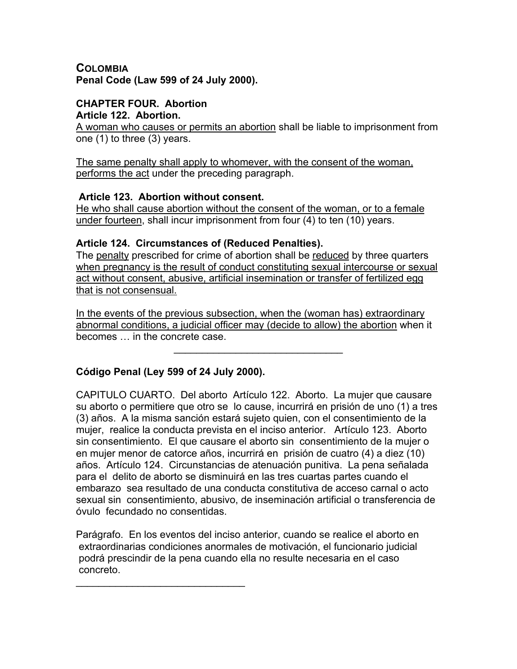## **COLOMBIA Penal Code (Law 599 of 24 July 2000).**

#### **CHAPTER FOUR. Abortion Article 122. Abortion.**

A woman who causes or permits an abortion shall be liable to imprisonment from one (1) to three (3) years.

The same penalty shall apply to whomever, with the consent of the woman, performs the act under the preceding paragraph.

# **Article 123. Abortion without consent.**

He who shall cause abortion without the consent of the woman, or to a female under fourteen, shall incur imprisonment from four (4) to ten (10) years.

# **Article 124. Circumstances of (Reduced Penalties).**

The penalty prescribed for crime of abortion shall be reduced by three quarters when pregnancy is the result of conduct constituting sexual intercourse or sexual act without consent, abusive, artificial insemination or transfer of fertilized egg that is not consensual.

In the events of the previous subsection, when the (woman has) extraordinary abnormal conditions, a judicial officer may (decide to allow) the abortion when it becomes … in the concrete case.

 $\mathcal{L}_\text{max}$  and  $\mathcal{L}_\text{max}$  and  $\mathcal{L}_\text{max}$  and  $\mathcal{L}_\text{max}$ 

# **Código Penal (Ley 599 of 24 July 2000).**

 $\mathcal{L}_\text{max}$  and  $\mathcal{L}_\text{max}$  and  $\mathcal{L}_\text{max}$  and  $\mathcal{L}_\text{max}$ 

CAPITULO CUARTO. Del aborto Artículo 122. Aborto. La mujer que causare su aborto o permitiere que otro se lo cause, incurrirá en prisión de uno (1) a tres (3) años. A la misma sanción estará sujeto quien, con el consentimiento de la mujer, realice la conducta prevista en el inciso anterior. Artículo 123. Aborto sin consentimiento. El que causare el aborto sin consentimiento de la mujer o en mujer menor de catorce años, incurrirá en prisión de cuatro (4) a diez (10) años. Artículo 124. Circunstancias de atenuación punitiva. La pena señalada para el delito de aborto se disminuirá en las tres cuartas partes cuando el embarazo sea resultado de una conducta constitutiva de acceso carnal o acto sexual sin consentimiento, abusivo, de inseminación artificial o transferencia de óvulo fecundado no consentidas.

Parágrafo. En los eventos del inciso anterior, cuando se realice el aborto en extraordinarias condiciones anormales de motivación, el funcionario judicial podrá prescindir de la pena cuando ella no resulte necesaria en el caso concreto.